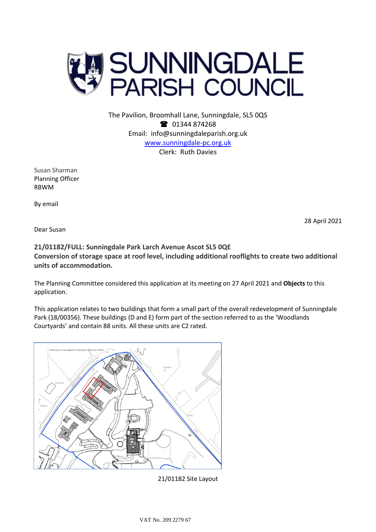

The Pavilion, Broomhall Lane, Sunningdale, SL5 0QS **1** 01344 874268 Email: info@sunningdaleparish.org.uk [www.sunningdale-pc.org.uk](http://www.sunningdale-pc.org.uk/) Clerk: Ruth Davies

Susan Sharman Planning Officer RBWM

By email

28 April 2021

Dear Susan

## **21/01182/FULL: Sunningdale Park Larch Avenue Ascot SL5 0QE Conversion of storage space at roof level, including additional rooflights to create two additional units of accommodation.**

The Planning Committee considered this application at its meeting on 27 April 2021 and **Objects** to this application.

This application relates to two buildings that form a small part of the overall redevelopment of Sunningdale Park (18/00356). These buildings (D and E) form part of the section referred to as the 'Woodlands Courtyards' and contain 88 units. All these units are C2 rated.



21/01182 Site Layout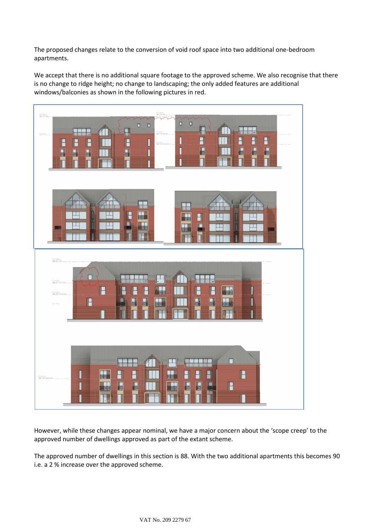The proposed changes relate to the conversion of void roof space into two additional one-bedroom apartments.

We accept that there is no additional square footage to the approved scheme. We also recognise that there is no change to ridge height; no change to landscaping; the only added features are additional windows/balconies as shown in the following pictures in red.



However, while these changes appear nominal, we have a major concern about the 'scope creep' to the approved number of dwellings approved as part of the extant scheme.

The approved number of dwellings in this section is 88. With the two additional apartments this becomes 90 i.e. a 2 % increase over the approved scheme.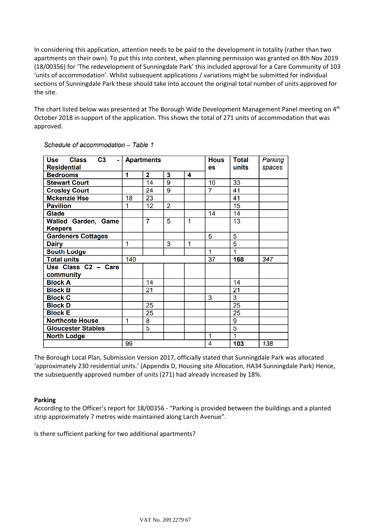In considering this application, attention needs to be paid to the development in totality (rather than two apartments on their own). To put this into context, when planning permission was granted on 8th Nov 2019 (18/00356) for 'The redevelopment of Sunningdale Park' this included approval for a Care Community of 103 'units of accommodation'. Whilst subsequent applications / variations might be submitted for individual sections of Sunningdale Park these should take into account the original total number of units approved for the site.

The chart listed below was presented at The Borough Wide Development Management Panel meeting on 4<sup>th</sup> October 2018 in support of the application. This shows the total of 271 units of accommodation that was approved.

| $C3 -  $<br><b>Class</b><br>Use | <b>Apartments</b> |    |                |                         | <b>Hous</b> | <b>Total</b>   | <b>Parking</b> |
|---------------------------------|-------------------|----|----------------|-------------------------|-------------|----------------|----------------|
| <b>Residential</b>              |                   |    |                |                         | es          | units          | spaces         |
| <b>Bedrooms</b>                 | 1                 | 2  | 3              | 4                       |             |                |                |
| <b>Stewart Court</b>            |                   | 14 | $\overline{9}$ |                         | 10          | 33             |                |
| <b>Crosley Court</b>            |                   | 24 | 9              |                         | 7           | 41             |                |
| <b>Mckenzie Hse</b>             | 18                | 23 |                |                         |             | 41             |                |
| <b>Pavilion</b>                 | 1                 | 12 | $\overline{2}$ |                         |             | 15             |                |
| <b>Glade</b>                    |                   |    |                |                         | 14          | 14             |                |
| <b>Walled Garden, Game</b>      |                   | 7  | 5              | $\overline{\mathbf{1}}$ |             | 13             |                |
| <b>Keepers</b>                  |                   |    |                |                         |             |                |                |
| <b>Gardeners Cottages</b>       |                   |    |                |                         | 5           | 5              |                |
| <b>Dairy</b>                    | 1                 |    | 3              | 1                       |             | $\overline{5}$ |                |
| <b>South Lodge</b>              |                   |    |                |                         | 1           | 1              |                |
| <b>Total units</b>              | 140               |    |                |                         | 37          | 168            | 347            |
| Use Class C2 - Care             |                   |    |                |                         |             |                |                |
| community                       |                   |    |                |                         |             |                |                |
| <b>Block A</b>                  |                   | 14 |                |                         |             | 14             |                |
| <b>Block B</b>                  |                   | 21 |                |                         |             | 21             |                |
| <b>Block C</b>                  |                   |    |                |                         | 3           | 3              |                |
| <b>Block D</b>                  |                   | 25 |                |                         |             | 25             |                |
| <b>Block E</b>                  |                   | 25 |                |                         |             | 25             |                |
| <b>Northcote House</b>          | 1                 | 8  |                |                         |             | 9              |                |
| <b>Gloucester Stables</b>       |                   | 5  |                |                         |             | 5              |                |
| <b>North Lodge</b>              |                   |    |                |                         | 1           | 1              |                |
|                                 | 99                |    |                |                         | 4           | 103            | 138            |

Schedule of accommodation - Table 1

The Borough Local Plan, Submission Version 2017, officially stated that Sunningdale Park was allocated 'approximately 230 residential units.' (Appendix D, Housing site Allocation, HA34 Sunningdale Park) Hence, the subsequently approved number of units (271) had already increased by 18%.

## **Parking**

According to the Officer's report for 18/00356 - "Parking is provided between the buildings and a planted strip approximately 7 metres wide maintained along Larch Avenue".

Is there sufficient parking for two additional apartments?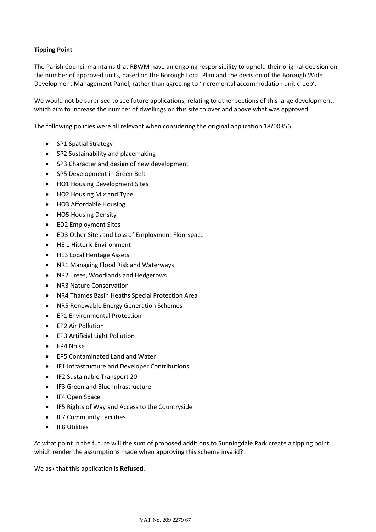## **Tipping Point**

The Parish Council maintains that RBWM have an ongoing responsibility to uphold their original decision on the number of approved units, based on the Borough Local Plan and the decision of the Borough Wide Development Management Panel, rather than agreeing to 'incremental accommodation unit creep'.

We would not be surprised to see future applications, relating to other sections of this large development, which aim to increase the number of dwellings on this site to over and above what was approved.

The following policies were all relevant when considering the original application 18/00356.

- SP1 Spatial Strategy
- SP2 Sustainability and placemaking
- SP3 Character and design of new development
- SP5 Development in Green Belt
- HO1 Housing Development Sites
- HO2 Housing Mix and Type
- HO3 Affordable Housing
- HO5 Housing Density
- ED2 Employment Sites
- ED3 Other Sites and Loss of Employment Floorspace
- HE 1 Historic Environment
- HE3 Local Heritage Assets
- NR1 Managing Flood Risk and Waterways
- NR2 Trees, Woodlands and Hedgerows
- NR3 Nature Conservation
- NR4 Thames Basin Heaths Special Protection Area
- NR5 Renewable Energy Generation Schemes
- EP1 Environmental Protection
- EP2 Air Pollution
- EP3 Artificial Light Pollution
- EP4 Noise
- EP5 Contaminated Land and Water
- IF1 Infrastructure and Developer Contributions
- IF2 Sustainable Transport 20
- IF3 Green and Blue Infrastructure
- IF4 Open Space
- IF5 Rights of Way and Access to the Countryside
- IF7 Community Facilities
- IF8 Utilities

At what point in the future will the sum of proposed additions to Sunningdale Park create a tipping point which render the assumptions made when approving this scheme invalid?

We ask that this application is **Refused**.